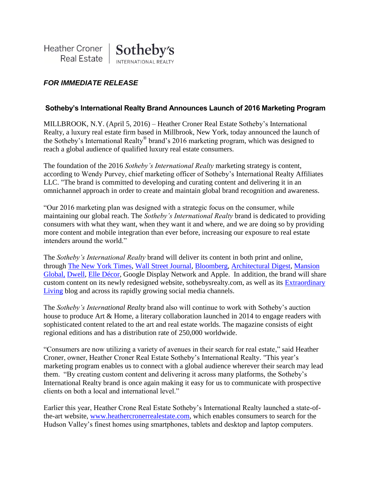

# *FOR IMMEDIATE RELEASE*

### **Sotheby's International Realty Brand Announces Launch of 2016 Marketing Program**

MILLBROOK, N.Y. (April 5, 2016) – Heather Croner Real Estate Sotheby's International Realty, a luxury real estate firm based in Millbrook, New York, today announced the launch of the Sotheby's International Realty® brand's 2016 marketing program, which was designed to reach a global audience of qualified luxury real estate consumers.

The foundation of the 2016 *Sotheby's International Realty* marketing strategy is content, according to Wendy Purvey, chief marketing officer of Sotheby's International Realty Affiliates LLC. "The brand is committed to developing and curating content and delivering it in an omnichannel approach in order to create and maintain global brand recognition and awareness.

"Our 2016 marketing plan was designed with a strategic focus on the consumer, while maintaining our global reach. The *Sotheby's International Realty* brand is dedicated to providing consumers with what they want, when they want it and where, and we are doing so by providing more content and mobile integration than ever before, increasing our exposure to real estate intenders around the world."

The *Sotheby's International Realty* brand will deliver its content in both print and online, through [The New York Times,](http://www.nyt.com/) [Wall Street Journal,](http://www.wsj.com/) [Bloomberg,](http://www.bloomberg.com/) [Architectural Digest,](http://www.architecturaldigest.com/) [Mansion](http://www.mansionglobal.com/)  [Global,](http://www.mansionglobal.com/) [Dwell,](http://www.dwell.com/) [Elle Décor,](http://www.elledecor.com/) Google Display Network and Apple. In addition, the brand will share custom content on its newly redesigned website, sothebysrealty.com, as well as its [Extraordinary](http://www.sothebysrealty.com/extraordinary-living-blog/)  [Living](http://www.sothebysrealty.com/extraordinary-living-blog/) blog and across its rapidly growing social media channels.

The *Sotheby's International Realty* brand also will continue to work with Sotheby's auction house to produce Art & Home, a literary collaboration launched in 2014 to engage readers with sophisticated content related to the art and real estate worlds. The magazine consists of eight regional editions and has a distribution rate of 250,000 worldwide.

"Consumers are now utilizing a variety of avenues in their search for real estate," said Heather Croner, owner, Heather Croner Real Estate Sotheby's International Realty. "This year's marketing program enables us to connect with a global audience wherever their search may lead them. "By creating custom content and delivering it across many platforms, the Sotheby's International Realty brand is once again making it easy for us to communicate with prospective clients on both a local and international level."

Earlier this year, Heather Crone Real Estate Sotheby's International Realty launched a state-ofthe-art website, [www.heathercronerrealestate.com,](http://www.heathercronerrealestate.com/) which enables consumers to search for the Hudson Valley's finest homes using smartphones, tablets and desktop and laptop computers.